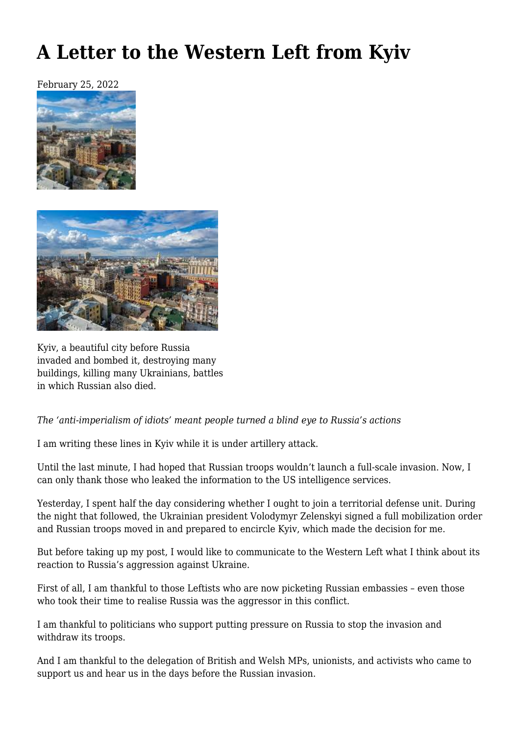# **[A Letter to the Western Left from Kyiv](https://newpol.org/a-letter-to-the-western-left-from-kyiv/)**

February 25, 2022





Kyiv, a beautiful city before Russia invaded and bombed it, destroying many buildings, killing many Ukrainians, battles in which Russian also died.

#### *The 'anti-imperialism of idiots' meant people turned a blind eye to Russia's actions*

I am writing these lines in Kyiv while it is under artillery attack.

Until the last minute, I had hoped that Russian troops wouldn't launch a full-scale invasion. Now, I can only thank those who leaked the information to the US intelligence services.

Yesterday, I spent half the day considering whether I ought to join a territorial defense unit. During the night that followed, the Ukrainian president Volodymyr Zelenskyi signed a full mobilization order and Russian troops moved in and prepared to encircle Kyiv, which made the decision for me.

But before taking up my post, I would like to communicate to the Western Left what I think about its reaction to Russia's aggression against Ukraine.

First of all, I am thankful to those Leftists who are now picketing Russian embassies – even those who took their time to realise Russia was the aggressor in this conflict.

I am thankful to politicians who support putting pressure on Russia to stop the invasion and withdraw its troops.

And I am thankful to the [delegation](https://rev.org.ua/vizit-solidarnosti-z-angli%d1%97-ta-uelsu/) of British and Welsh MPs, unionists, and activists who came to support us and hear us in the days before the Russian invasion.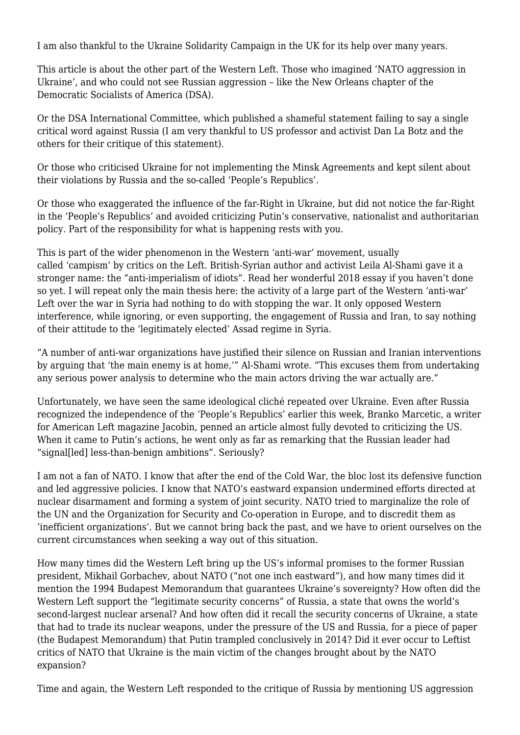I am also thankful to the [Ukraine Solidarity Campaign](https://ukrainesolidaritycampaign.org/) in the UK for its help over many years.

This article is about the other part of the Western Left. Those who imagined 'NATO aggression in Ukraine', and who could not see Russian aggression – like the [New Orleans](https://www.facebook.com/NewOrleansDSA/posts/243157674659620) chapter of the Democratic Socialists of America (DSA).

Or the DSA International Committee, which published a [shameful statement](https://international.dsausa.org/statements/no-war-with) failing to say a single critical word against Russia (I am very thankful to US professor and activist Dan La Botz and the others for their [critique of this statement\)](https://newpol.org/what-the-dsa-international-committees-ukraine-statement-gets-wrong/).

Or those who criticised Ukraine for not implementing the [Minsk Agreements](https://www.opendemocracy.net/en/odr/russia-ukraine-what-are-the-minsk-agreements/) and kept silent about their violations by Russia and the so-called 'People's Republics'.

Or those who exaggerated the influence of the far-Right in Ukraine, but did not notice the far-Right in the 'People's Republics' and avoided criticizing Putin's conservative, nationalist and authoritarian policy. Part of the responsibility for what is happening rests with you.

This is part of the wider phenomenon in the Western 'anti-war' movement, usually called ['campism'](https://newpol.org/issue_post/internationalism-anti-imperialism-and-the-origins-of-campism/) by critics on the Left. British-Syrian author and activist Leila Al-Shami gave it a stronger name: the ["anti-imperialism of idiots".](https://leilashami.wordpress.com/2018/04/14/the-anti-imperialism-of-idiots/) Read her wonderful 2018 essay if you haven't done so yet. I will repeat only the main thesis here: the activity of a large part of the Western 'anti-war' Left over the war in Syria had nothing to do with stopping the war. It only opposed Western interference, while ignoring, or even supporting, the engagement of Russia and Iran, to say nothing of their attitude to the 'legitimately elected' Assad regime in Syria.

"A number of anti-war organizations have justified their silence on Russian and Iranian interventions by arguing that 'the main enemy is at home,'" Al-Shami wrote. "This excuses them from undertaking any serious power analysis to determine who the main actors driving the war actually are."

Unfortunately, we have seen the same ideological cliché repeated over Ukraine. Even after Russia recognized the independence of the 'People's Republics' earlier this week, Branko Marcetic, a writer for American Left magazine Jacobin, penned an [article](https://jacobinmag.com/2022/02/with-putins-ukraine-incursion-hawks-in-washington-got-exactly-what-they-wanted) almost fully devoted to criticizing the US. When it came to Putin's actions, he went only as far as remarking that the Russian leader had "signal[led] less-than-benign ambitions". Seriously?

I am not a fan of NATO. I know that after the end of the Cold War, the bloc lost its defensive function and led aggressive policies. I know that NATO's eastward expansion undermined efforts directed at nuclear disarmament and forming a system of joint security. NATO tried to marginalize the role of the UN and the Organization for Security and Co-operation in Europe, and to discredit them as 'inefficient organizations'. But we cannot bring back the past, and we have to orient ourselves on the current circumstances when seeking a way out of this situation.

How many times did the Western Left bring up the US's informal promises to the former Russian president, Mikhail Gorbachev, about NATO [\("not one inch eastward"](https://nsarchive.gwu.edu/briefing-book/russia-programs/2017-12-12/nato-expansion-what-gorbachev-heard-western-leaders-early)), and how many times did it mention the 1994 Budapest Memorandum that guarantees Ukraine's sovereignty? How often did the Western Left support the "legitimate security concerns" of Russia, a state that owns the world's second-largest nuclear arsenal? And how often did it recall the security concerns of Ukraine, a state that had to trade its nuclear weapons, under the pressure of the US and Russia, for a piece of paper (the Budapest Memorandum) that Putin trampled conclusively in 2014? Did it ever occur to Leftist critics of NATO that Ukraine is the main victim of the changes brought about by the NATO expansion?

Time and again, the Western Left responded to the critique of Russia by mentioning US aggression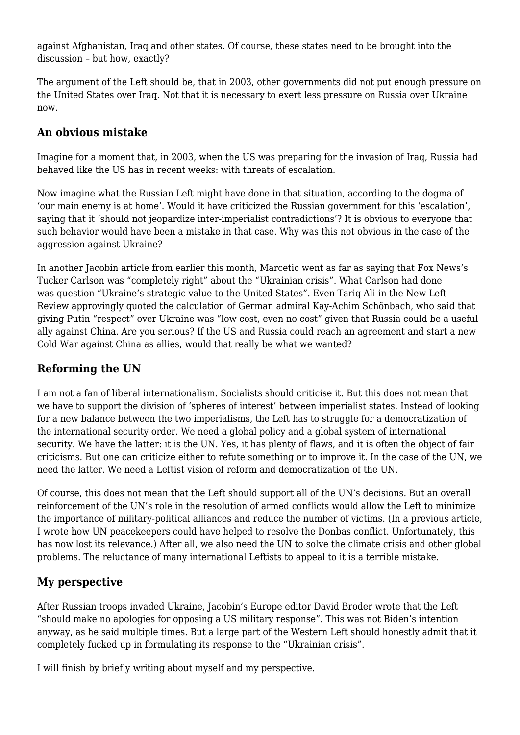against Afghanistan, Iraq and other states. Of course, these states need to be brought into the discussion – but how, exactly?

The argument of the Left should be, that in 2003, other governments did not put enough pressure on the United States over Iraq. Not that it is necessary to exert less pressure on Russia over Ukraine now.

### **An obvious mistake**

Imagine for a moment that, in 2003, when the US was preparing for the invasion of Iraq, Russia had behaved like the US has in recent weeks: with threats of escalation.

Now imagine what the Russian Left might have done in that situation, according to the dogma of 'our main enemy is at home'. Would it have criticized the Russian government for this 'escalation', saying that it 'should not jeopardize inter-imperialist contradictions'? It is obvious to everyone that such behavior would have been a mistake in that case. Why was this not obvious in the case of the aggression against Ukraine?

In another Jacobin article from earlier this month, Marcetic went as far as [saying](https://jacobinmag.com/2022/02/neo-mccarthyism-russia-ukraine-bernie-sanders-putin-media) that Fox News's Tucker Carlson was "completely right" about the "Ukrainian crisis". What Carlson had done was [question](https://jacobinmag.com/2022/02/neo-mccarthyism-russia-ukraine-bernie-sanders-putin-media) "Ukraine's strategic value to the United States". Even Tariq Ali in [the New Left](https://newleftreview.org/sidecar/posts/news-from-natoland) [Review](https://newleftreview.org/sidecar/posts/news-from-natoland) approvingly quoted the calculation of German admiral Kay-Achim Schönbach, who said that giving Putin "respect" over Ukraine was ["low cost, even no cost"](https://www.theguardian.com/world/2022/jan/23/german-navy-chief-quits-after-saying-putin-deserves-respect-over-ukraine) given that Russia could be a useful ally against China. Are you serious? If the US and Russia could reach an agreement and start a new Cold War against China as allies, would that really be what we wanted?

# **Reforming the UN**

I am not a fan of liberal internationalism. Socialists should criticise it. But this does not mean that we have to support the division of 'spheres of interest' between imperialist states. Instead of looking for a new balance between the two imperialisms, the Left has to struggle for a democratization of the international security order. We need a global policy and a global system of international security. We have the latter: it is the UN. Yes, it has plenty of flaws, and it is often the object of fair criticisms. But one can criticize either to refute something or to improve it. In the case of the UN, we need the latter. We need a Leftist vision of reform and democratization of the UN.

Of course, this does not mean that the Left should support all of the UN's decisions. But an overall reinforcement of the UN's role in the resolution of armed conflicts would allow the Left to minimize the importance of military-political alliances and reduce the number of victims. (In a [previous article](https://www.opendemocracy.net/en/odr/ukraine-needs-un-peacekeepers-heres-why/), I wrote how UN peacekeepers could have helped to resolve the Donbas conflict. Unfortunately, this has now lost its relevance.) After all, we also need the UN to solve the climate crisis and other global problems. The reluctance of many international Leftists to appeal to it is a terrible mistake.

# **My perspective**

After Russian troops invaded Ukraine, Jacobin's Europe editor David Broder [wrote](https://www.jacobinmag.com/author/david-broder) that the Left "should make no apologies for opposing a US military response". This was not Biden's intention anyway, as he said multiple times. But a large part of the Western Left should honestly admit that it completely fucked up in formulating its response to the "Ukrainian crisis".

I will finish by briefly writing about myself and my perspective.